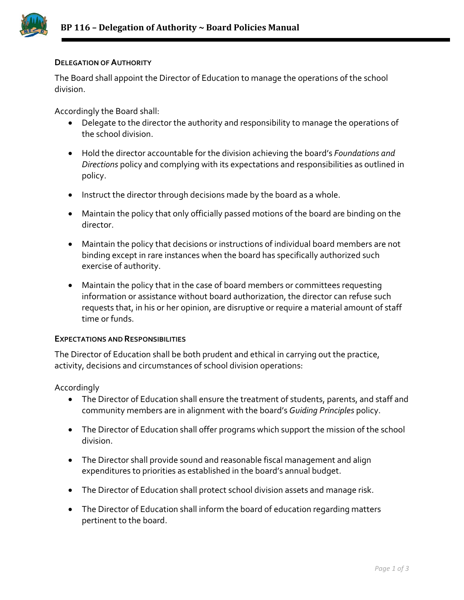

## **DELEGATION OF AUTHORITY**

The Board shall appoint the Director of Education to manage the operations of the school division.

Accordingly the Board shall:

- Delegate to the director the authority and responsibility to manage the operations of the school division.
- Hold the director accountable for the division achieving the board's *Foundations and Directions* policy and complying with its expectations and responsibilities as outlined in policy.
- Instruct the director through decisions made by the board as a whole.
- Maintain the policy that only officially passed motions of the board are binding on the director.
- Maintain the policy that decisions or instructions of individual board members are not binding except in rare instances when the board has specifically authorized such exercise of authority.
- Maintain the policy that in the case of board members or committees requesting information or assistance without board authorization, the director can refuse such requests that, in his or her opinion, are disruptive or require a material amount of staff time or funds.

## **EXPECTATIONS AND RESPONSIBILITIES**

The Director of Education shall be both prudent and ethical in carrying out the practice, activity, decisions and circumstances of school division operations:

## Accordingly

- The Director of Education shall ensure the treatment of students, parents, and staff and community members are in alignment with the board's *Guiding Principles* policy.
- The Director of Education shall offer programs which support the mission of the school division.
- The Director shall provide sound and reasonable fiscal management and align expenditures to priorities as established in the board's annual budget.
- The Director of Education shall protect school division assets and manage risk.
- The Director of Education shall inform the board of education regarding matters pertinent to the board.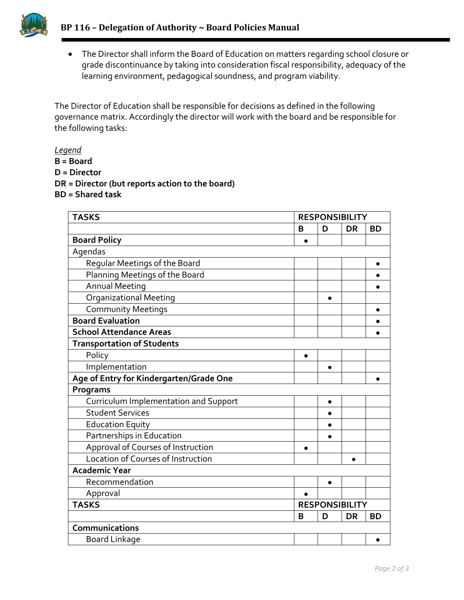

• The Director shall inform the Board of Education on matters regarding school closure or grade discontinuance by taking into consideration fiscal responsibility, adequacy of the learning environment, pedagogical soundness, and program viability.

The Director of Education shall be responsible for decisions as defined in the following governance matrix. Accordingly the director will work with the board and be responsible for the following tasks:

*Legend*

- **B = Board**
- **D = Director**
- **DR = Director (but reports action to the board)**
- **BD = Shared task**

| <b>TASKS</b>                            | <b>RESPONSIBILITY</b> |           |           |           |
|-----------------------------------------|-----------------------|-----------|-----------|-----------|
|                                         | B                     | D         | <b>DR</b> | <b>BD</b> |
| <b>Board Policy</b>                     |                       |           |           |           |
| Agendas                                 |                       |           |           |           |
| Regular Meetings of the Board           |                       |           |           | ٠         |
| Planning Meetings of the Board          |                       |           |           |           |
| <b>Annual Meeting</b>                   |                       |           |           |           |
| <b>Organizational Meeting</b>           |                       | $\bullet$ |           |           |
| <b>Community Meetings</b>               |                       |           |           | $\bullet$ |
| <b>Board Evaluation</b>                 |                       |           |           |           |
| <b>School Attendance Areas</b>          |                       |           |           |           |
| <b>Transportation of Students</b>       |                       |           |           |           |
| Policy                                  | $\bullet$             |           |           |           |
| Implementation                          |                       |           |           |           |
| Age of Entry for Kindergarten/Grade One |                       |           |           |           |
| Programs                                |                       |           |           |           |
| Curriculum Implementation and Support   |                       | $\bullet$ |           |           |
| <b>Student Services</b>                 |                       |           |           |           |
| <b>Education Equity</b>                 |                       | $\bullet$ |           |           |
| Partnerships in Education               |                       | $\bullet$ |           |           |
| Approval of Courses of Instruction      |                       |           |           |           |
| Location of Courses of Instruction      |                       |           | $\bullet$ |           |
| <b>Academic Year</b>                    |                       |           |           |           |
| Recommendation                          |                       | $\bullet$ |           |           |
| Approval                                |                       |           |           |           |
| <b>TASKS</b>                            | <b>RESPONSIBILITY</b> |           |           |           |
|                                         | B                     | D         | <b>DR</b> | <b>BD</b> |
| Communications                          |                       |           |           |           |
| <b>Board Linkage</b>                    |                       |           |           |           |